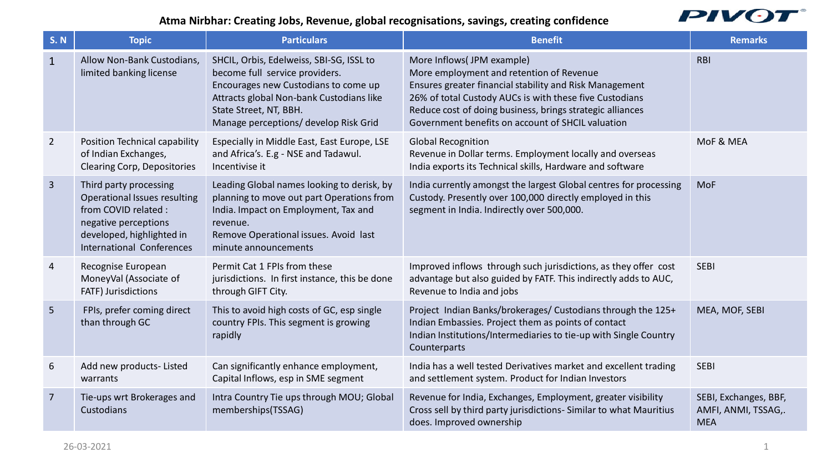## **Atma Nirbhar: Creating Jobs, Revenue, global recognisations, savings, creating confidence**



| <b>S. N</b>    | <b>Topic</b>                                                                                                                                                     | <b>Particulars</b>                                                                                                                                                                                                                | <b>Benefit</b>                                                                                                                                                                                                                                                                                                | <b>Remarks</b>                                             |
|----------------|------------------------------------------------------------------------------------------------------------------------------------------------------------------|-----------------------------------------------------------------------------------------------------------------------------------------------------------------------------------------------------------------------------------|---------------------------------------------------------------------------------------------------------------------------------------------------------------------------------------------------------------------------------------------------------------------------------------------------------------|------------------------------------------------------------|
| $\mathbf{1}$   | Allow Non-Bank Custodians,<br>limited banking license                                                                                                            | SHCIL, Orbis, Edelweiss, SBI-SG, ISSL to<br>become full service providers.<br>Encourages new Custodians to come up<br>Attracts global Non-bank Custodians like<br>State Street, NT, BBH.<br>Manage perceptions/ develop Risk Grid | More Inflows(JPM example)<br>More employment and retention of Revenue<br>Ensures greater financial stability and Risk Management<br>26% of total Custody AUCs is with these five Custodians<br>Reduce cost of doing business, brings strategic alliances<br>Government benefits on account of SHCIL valuation | <b>RBI</b>                                                 |
| $\overline{2}$ | Position Technical capability<br>of Indian Exchanges,<br><b>Clearing Corp, Depositories</b>                                                                      | Especially in Middle East, East Europe, LSE<br>and Africa's. E.g - NSE and Tadawul.<br>Incentivise it                                                                                                                             | <b>Global Recognition</b><br>Revenue in Dollar terms. Employment locally and overseas<br>India exports its Technical skills, Hardware and software                                                                                                                                                            | MoF & MEA                                                  |
| $\overline{3}$ | Third party processing<br>Operational Issues resulting<br>from COVID related :<br>negative perceptions<br>developed, highlighted in<br>International Conferences | Leading Global names looking to derisk, by<br>planning to move out part Operations from<br>India. Impact on Employment, Tax and<br>revenue.<br>Remove Operational issues. Avoid last<br>minute announcements                      | India currently amongst the largest Global centres for processing<br>Custody. Presently over 100,000 directly employed in this<br>segment in India. Indirectly over 500,000.                                                                                                                                  | <b>MoF</b>                                                 |
| 4              | Recognise European<br>MoneyVal (Associate of<br>FATF) Jurisdictions                                                                                              | Permit Cat 1 FPIs from these<br>jurisdictions. In first instance, this be done<br>through GIFT City.                                                                                                                              | Improved inflows through such jurisdictions, as they offer cost<br>advantage but also guided by FATF. This indirectly adds to AUC,<br>Revenue to India and jobs                                                                                                                                               | <b>SEBI</b>                                                |
| 5 <sup>5</sup> | FPIs, prefer coming direct<br>than through GC                                                                                                                    | This to avoid high costs of GC, esp single<br>country FPIs. This segment is growing<br>rapidly                                                                                                                                    | Project Indian Banks/brokerages/ Custodians through the 125+<br>Indian Embassies. Project them as points of contact<br>Indian Institutions/Intermediaries to tie-up with Single Country<br>Counterparts                                                                                                       | MEA, MOF, SEBI                                             |
| 6              | Add new products-Listed<br>warrants                                                                                                                              | Can significantly enhance employment,<br>Capital Inflows, esp in SME segment                                                                                                                                                      | India has a well tested Derivatives market and excellent trading<br>and settlement system. Product for Indian Investors                                                                                                                                                                                       | <b>SEBI</b>                                                |
| $\overline{7}$ | Tie-ups wrt Brokerages and<br>Custodians                                                                                                                         | Intra Country Tie ups through MOU; Global<br>memberships(TSSAG)                                                                                                                                                                   | Revenue for India, Exchanges, Employment, greater visibility<br>Cross sell by third party jurisdictions- Similar to what Mauritius<br>does. Improved ownership                                                                                                                                                | SEBI, Exchanges, BBF,<br>AMFI, ANMI, TSSAG,.<br><b>MEA</b> |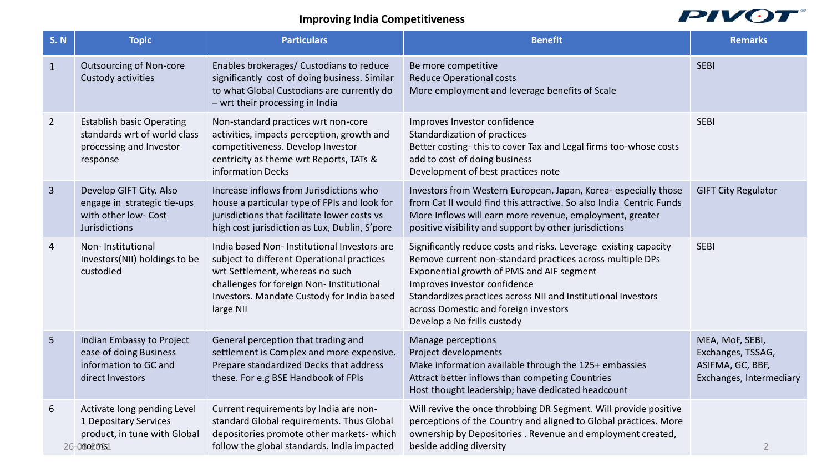## **Improving India Competitiveness**



| <b>S. N</b>    | <b>Topic</b>                                                                                            | <b>Particulars</b>                                                                                                                                                                                                                   | <b>Benefit</b>                                                                                                                                                                                                                                                                                                                                      | <b>Remarks</b>                                                                      |
|----------------|---------------------------------------------------------------------------------------------------------|--------------------------------------------------------------------------------------------------------------------------------------------------------------------------------------------------------------------------------------|-----------------------------------------------------------------------------------------------------------------------------------------------------------------------------------------------------------------------------------------------------------------------------------------------------------------------------------------------------|-------------------------------------------------------------------------------------|
| $\mathbf{1}$   | <b>Outsourcing of Non-core</b><br>Custody activities                                                    | Enables brokerages/ Custodians to reduce<br>significantly cost of doing business. Similar<br>to what Global Custodians are currently do<br>- wrt their processing in India                                                           | Be more competitive<br><b>Reduce Operational costs</b><br>More employment and leverage benefits of Scale                                                                                                                                                                                                                                            | <b>SEBI</b>                                                                         |
| $\overline{2}$ | <b>Establish basic Operating</b><br>standards wrt of world class<br>processing and Investor<br>response | Non-standard practices wrt non-core<br>activities, impacts perception, growth and<br>competitiveness. Develop Investor<br>centricity as theme wrt Reports, TATs &<br>information Decks                                               | Improves Investor confidence<br>Standardization of practices<br>Better costing-this to cover Tax and Legal firms too-whose costs<br>add to cost of doing business<br>Development of best practices note                                                                                                                                             | <b>SEBI</b>                                                                         |
| 3 <sup>1</sup> | Develop GIFT City. Also<br>engage in strategic tie-ups<br>with other low- Cost<br>Jurisdictions         | Increase inflows from Jurisdictions who<br>house a particular type of FPIs and look for<br>jurisdictions that facilitate lower costs vs<br>high cost jurisdiction as Lux, Dublin, S'pore                                             | Investors from Western European, Japan, Korea-especially those<br>from Cat II would find this attractive. So also India Centric Funds<br>More Inflows will earn more revenue, employment, greater<br>positive visibility and support by other jurisdictions                                                                                         | <b>GIFT City Regulator</b>                                                          |
| 4              | Non-Institutional<br>Investors(NII) holdings to be<br>custodied                                         | India based Non-Institutional Investors are<br>subject to different Operational practices<br>wrt Settlement, whereas no such<br>challenges for foreign Non- Institutional<br>Investors. Mandate Custody for India based<br>large NII | Significantly reduce costs and risks. Leverage existing capacity<br>Remove current non-standard practices across multiple DPs<br>Exponential growth of PMS and AIF segment<br>Improves investor confidence<br>Standardizes practices across NII and Institutional Investors<br>across Domestic and foreign investors<br>Develop a No frills custody | <b>SEBI</b>                                                                         |
| 5 <sup>1</sup> | Indian Embassy to Project<br>ease of doing Business<br>information to GC and<br>direct Investors        | General perception that trading and<br>settlement is Complex and more expensive.<br>Prepare standardized Decks that address<br>these. For e.g BSE Handbook of FPIs                                                                   | Manage perceptions<br>Project developments<br>Make information available through the 125+ embassies<br>Attract better inflows than competing Countries<br>Host thought leadership; have dedicated headcount                                                                                                                                         | MEA, MoF, SEBI,<br>Exchanges, TSSAG,<br>ASIFMA, GC, BBF,<br>Exchanges, Intermediary |
| 6              | Activate long pending Level<br>1 Depositary Services<br>product, in tune with Global<br>26-06e2021      | Current requirements by India are non-<br>standard Global requirements. Thus Global<br>depositories promote other markets- which<br>follow the global standards. India impacted                                                      | Will revive the once throbbing DR Segment. Will provide positive<br>perceptions of the Country and aligned to Global practices. More<br>ownership by Depositories. Revenue and employment created,<br>beside adding diversity                                                                                                                       | $\overline{2}$                                                                      |